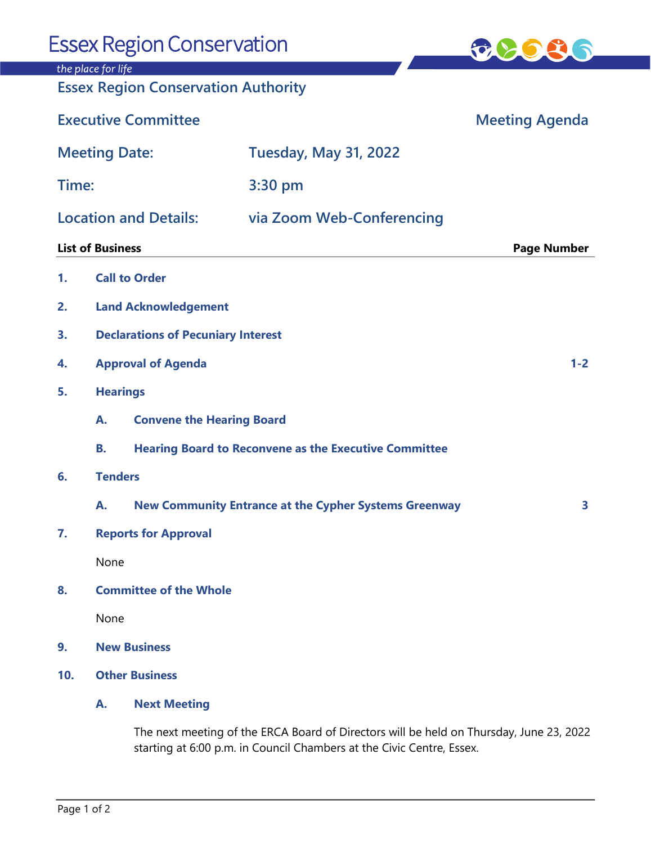| <b>Essex Region Conservation</b>                                 |                                           |                                                                                                                                                                  |                                                              | <b>70030</b>          |
|------------------------------------------------------------------|-------------------------------------------|------------------------------------------------------------------------------------------------------------------------------------------------------------------|--------------------------------------------------------------|-----------------------|
| the place for life<br><b>Essex Region Conservation Authority</b> |                                           |                                                                                                                                                                  |                                                              |                       |
| <b>Executive Committee</b>                                       |                                           |                                                                                                                                                                  |                                                              | <b>Meeting Agenda</b> |
| <b>Meeting Date:</b>                                             |                                           |                                                                                                                                                                  | <b>Tuesday, May 31, 2022</b>                                 |                       |
| Time:                                                            |                                           |                                                                                                                                                                  | 3:30 pm                                                      |                       |
| <b>Location and Details:</b>                                     |                                           |                                                                                                                                                                  | via Zoom Web-Conferencing                                    |                       |
| <b>List of Business</b>                                          |                                           |                                                                                                                                                                  |                                                              | <b>Page Number</b>    |
| 1.                                                               |                                           | <b>Call to Order</b>                                                                                                                                             |                                                              |                       |
| 2.                                                               |                                           | <b>Land Acknowledgement</b>                                                                                                                                      |                                                              |                       |
| 3.                                                               | <b>Declarations of Pecuniary Interest</b> |                                                                                                                                                                  |                                                              |                       |
| 4.                                                               | <b>Approval of Agenda</b><br>$1 - 2$      |                                                                                                                                                                  |                                                              |                       |
| 5.                                                               |                                           | <b>Hearings</b>                                                                                                                                                  |                                                              |                       |
|                                                                  | А.                                        | <b>Convene the Hearing Board</b>                                                                                                                                 |                                                              |                       |
|                                                                  | В.                                        | <b>Hearing Board to Reconvene as the Executive Committee</b>                                                                                                     |                                                              |                       |
| 6.                                                               | <b>Tenders</b>                            |                                                                                                                                                                  |                                                              |                       |
|                                                                  | А.                                        |                                                                                                                                                                  | <b>New Community Entrance at the Cypher Systems Greenway</b> | 3                     |
| 7.                                                               | <b>Reports for Approval</b>               |                                                                                                                                                                  |                                                              |                       |
|                                                                  | None                                      |                                                                                                                                                                  |                                                              |                       |
| 8.                                                               | <b>Committee of the Whole</b>             |                                                                                                                                                                  |                                                              |                       |
|                                                                  | None                                      |                                                                                                                                                                  |                                                              |                       |
| 9.                                                               | <b>New Business</b>                       |                                                                                                                                                                  |                                                              |                       |
| 10.                                                              | <b>Other Business</b>                     |                                                                                                                                                                  |                                                              |                       |
|                                                                  | A.                                        | <b>Next Meeting</b>                                                                                                                                              |                                                              |                       |
|                                                                  |                                           | The next meeting of the ERCA Board of Directors will be held on Thursday, June 23, 2022<br>starting at 6:00 p.m. in Council Chambers at the Civic Centre, Essex. |                                                              |                       |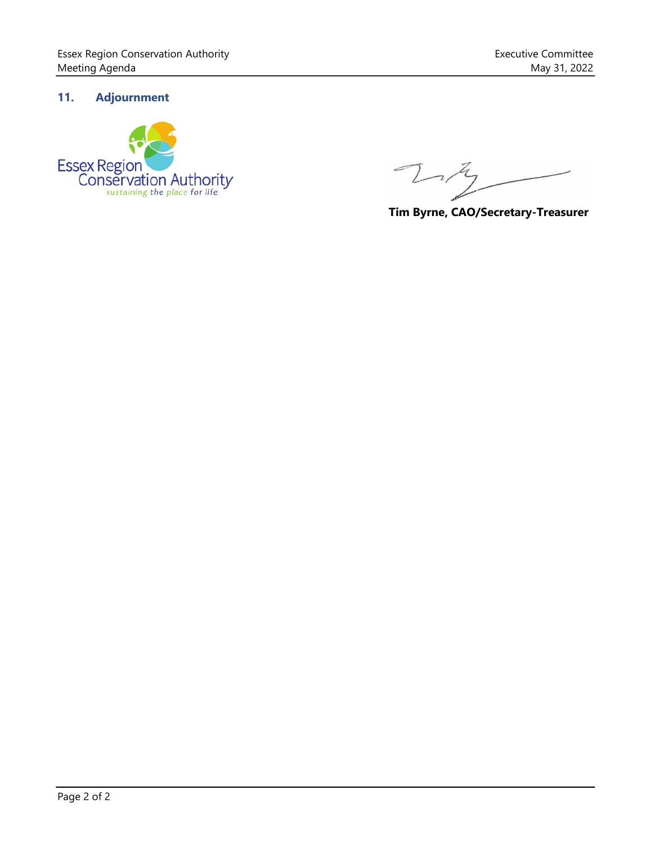## **11. Adjournment**



 $\tau$ 

**Tim Byrne, CAO/Secretary-Treasurer**